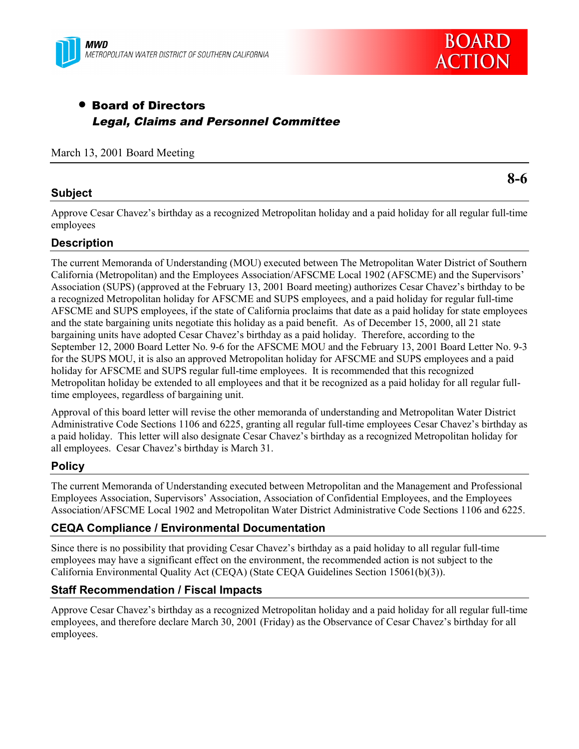

# • Board of Directors Legal, Claims and Personnel Committee

#### March 13, 2001 Board Meeting

## **Subject**

Approve Cesar Chavez's birthday as a recognized Metropolitan holiday and a paid holiday for all regular full-time employees

## **Description**

The current Memoranda of Understanding (MOU) executed between The Metropolitan Water District of Southern California (Metropolitan) and the Employees Association/AFSCME Local 1902 (AFSCME) and the Supervisors' Association (SUPS) (approved at the February 13, 2001 Board meeting) authorizes Cesar Chavez's birthday to be a recognized Metropolitan holiday for AFSCME and SUPS employees, and a paid holiday for regular full-time AFSCME and SUPS employees, if the state of California proclaims that date as a paid holiday for state employees and the state bargaining units negotiate this holiday as a paid benefit. As of December 15, 2000, all 21 state bargaining units have adopted Cesar Chavez's birthday as a paid holiday. Therefore, according to the September 12, 2000 Board Letter No. 9-6 for the AFSCME MOU and the February 13, 2001 Board Letter No. 9-3 for the SUPS MOU, it is also an approved Metropolitan holiday for AFSCME and SUPS employees and a paid holiday for AFSCME and SUPS regular full-time employees. It is recommended that this recognized Metropolitan holiday be extended to all employees and that it be recognized as a paid holiday for all regular fulltime employees, regardless of bargaining unit.

Approval of this board letter will revise the other memoranda of understanding and Metropolitan Water District Administrative Code Sections 1106 and 6225, granting all regular full-time employees Cesar Chavez's birthday as a paid holiday. This letter will also designate Cesar Chavez's birthday as a recognized Metropolitan holiday for all employees. Cesar Chavez's birthday is March 31.

## **Policy**

The current Memoranda of Understanding executed between Metropolitan and the Management and Professional Employees Association, Supervisors' Association, Association of Confidential Employees, and the Employees Association/AFSCME Local 1902 and Metropolitan Water District Administrative Code Sections 1106 and 6225.

## **CEQA Compliance / Environmental Documentation**

Since there is no possibility that providing Cesar Chavez's birthday as a paid holiday to all regular full-time employees may have a significant effect on the environment, the recommended action is not subject to the California Environmental Quality Act (CEQA) (State CEQA Guidelines Section 15061(b)(3)).

## **Staff Recommendation / Fiscal Impacts**

Approve Cesar Chavez's birthday as a recognized Metropolitan holiday and a paid holiday for all regular full-time employees, and therefore declare March 30, 2001 (Friday) as the Observance of Cesar Chavez's birthday for all employees.

**8-6**